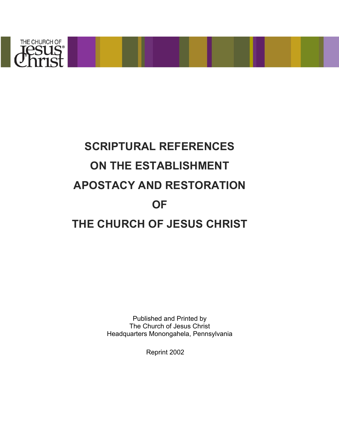

# **SCRIPTURAL REFERENCES ON THE ESTABLISHMENT APOSTACY AND RESTORATION OF THE CHURCH OF JESUS CHRIST**

Published and Printed by The Church of Jesus Christ Headquarters Monongahela, Pennsylvania

Reprint 2002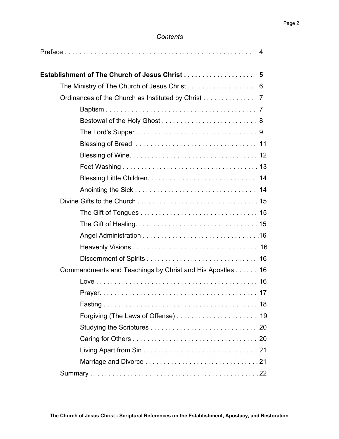#### *Contents*

| 4                                                        |
|----------------------------------------------------------|
| Establishment of The Church of Jesus Christ<br>5         |
| The Ministry of The Church of Jesus Christ<br>6          |
| Ordinances of the Church as Instituted by Christ<br>7    |
|                                                          |
|                                                          |
|                                                          |
|                                                          |
|                                                          |
|                                                          |
|                                                          |
|                                                          |
|                                                          |
|                                                          |
|                                                          |
|                                                          |
|                                                          |
|                                                          |
| Commandments and Teachings by Christ and His Apostles 16 |
|                                                          |
|                                                          |
|                                                          |
|                                                          |
|                                                          |
|                                                          |
|                                                          |
|                                                          |
|                                                          |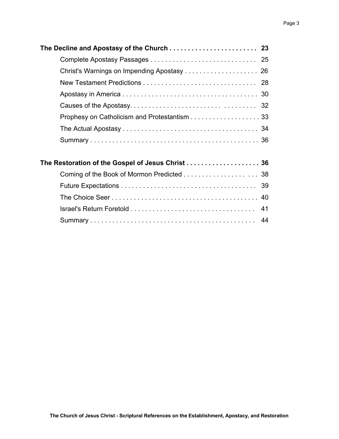| Prophesy on Catholicism and Protestantism 33      |
|---------------------------------------------------|
|                                                   |
|                                                   |
| The Restoration of the Gospel of Jesus Christ  36 |
|                                                   |
|                                                   |
|                                                   |
|                                                   |
| 44                                                |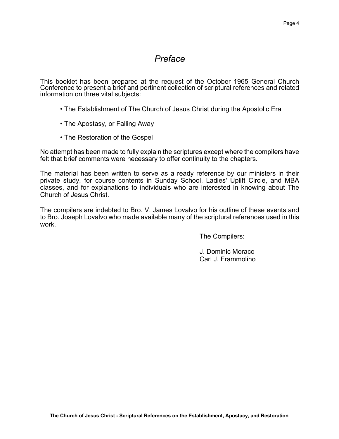# *Preface*

This booklet has been prepared at the request of the October 1965 General Church Conference to present a brief and pertinent collection of scriptural references and related information on three vital subjects:

- The Establishment of The Church of Jesus Christ during the Apostolic Era
- The Apostasy, or Falling Away
- The Restoration of the Gospel

No attempt has been made to fully explain the scriptures except where the compilers have felt that brief comments were necessary to offer continuity to the chapters.

The material has been written to serve as a ready reference by our ministers in their private study, for course contents in Sunday School, Ladies' Uplift Circle, and MBA classes, and for explanations to individuals who are interested in knowing about The Church of Jesus Christ.

The compilers are indebted to Bro. V. James Lovalvo for his outline of these events and to Bro. Joseph Lovalvo who made available many of the scriptural references used in this work.

The Compilers:

J. Dominic Moraco Carl J. Frammolino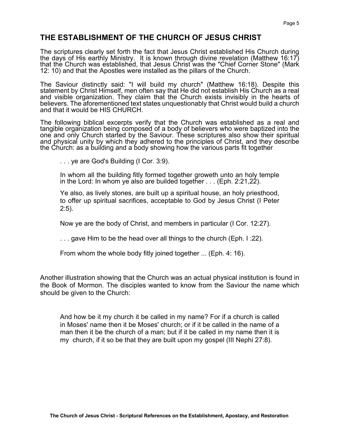# **THE ESTABLISHMENT OF THE CHURCH OF JESUS CHRIST**

The scriptures clearly set forth the fact that Jesus Christ established His Church during the days of His earthly Ministry. It is known through divine revelation (Matthew 16:17) that the Church was established, that Jesus Christ was the "Chief Corner Stone" (Mark 12: 10) and that the Apostles were installed as the pillars of the Church.

The Saviour distinctly said: "I will build my church" (Matthew 16:18). Despite this statement by Christ Himself, men often say that He did not establish His Church as a real and visible organization. They claim that the Church exists invisibly in the hearts of believers. The aforementioned text states unquestionably that Christ would build a church and that it would be HIS CHURCH.

The following biblical excerpts verify that the Church was established as a real and tangible organization being composed of a body of believers who were baptized into the one and only Church started by the Saviour. These scriptures also show their spiritual and physical unity by which they adhered to the principles of Christ, and they describe the Church: as a building and a body showing how the various parts fit together

. . . ye are God's Building (I Cor. 3:9).

In whom all the building fitly formed together groweth unto an holy temple in the Lord: In whom ye also are builded together . . . (Eph. 2:21,22).

Ye also, as lively stones, are built up a spiritual house, an holy priesthood, to offer up spiritual sacrifices, acceptable to God by Jesus Christ (I Peter 2:5).

Now ye are the body of Christ, and members in particular (I Cor. 12:27).

. . . gave Him to be the head over all things to the church (Eph. I :22).

From whom the whole body fitly joined together ... (Eph. 4: 16).

Another illustration showing that the Church was an actual physical institution is found in the Book of Mormon. The disciples wanted to know from the Saviour the name which should be given to the Church:

And how be it my church it be called in my name? For if a church is called in Moses' name then it be Moses' church; or if it be called in the name of a man then it be the church of a man; but if it be called in my name then it is my church, if it so be that they are built upon my gospel (III Nephi 27:8).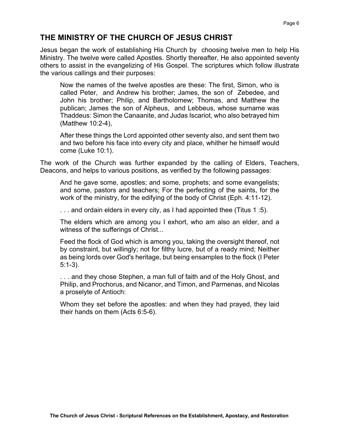# **THE MINISTRY OF THE CHURCH OF JESUS CHRIST**

Jesus began the work of establishing His Church by choosing twelve men to help His Ministry. The twelve were called Apostles. Shortly thereafter, He also appointed seventy others to assist in the evangelizing of His Gospel. The scriptures which follow illustrate the various callings and their purposes:

Now the names of the twelve apostles are these: The first, Simon, who is called Peter, and Andrew his brother; James, the son of Zebedee, and John his brother; Philip, and Bartholomew; Thomas, and Matthew the publican; James the son of Alpheus, and Lebbeus, whose surname was Thaddeus: Simon the Canaanite, and Judas Iscariot, who also betrayed him (Matthew 10:2-4),

After these things the Lord appointed other seventy also, and sent them two and two before his face into every city and place, whither he himself would come (Luke 10:1).

The work of the Church was further expanded by the calling of Elders, Teachers, Deacons, and helps to various positions, as verified by the following passages:

And he gave some, apostles; and some, prophets; and some evangelists; and some, pastors and teachers; For the perfecting of the saints, for the work of the ministry, for the edifying of the body of Christ (Eph. 4:11-12).

. . . and ordain elders in every city, as I had appointed thee (Titus 1 :5).

The elders which are among you I exhort, who am also an elder, and a witness of the sufferings of Christ...

Feed the flock of God which is among you, taking the oversight thereof, not by constraint, but willingly; not for filthy lucre, but of a ready mind; Neither as being lords over God's heritage, but being ensamples to the flock (I Peter 5:1-3).

. . . and they chose Stephen, a man full of faith and of the Holy Ghost, and Philip, and Prochorus, and Nicanor, and Timon, and Parmenas, and Nicolas a proselyte of Antioch:

Whom they set before the apostles: and when they had prayed, they laid their hands on them (Acts 6:5-6).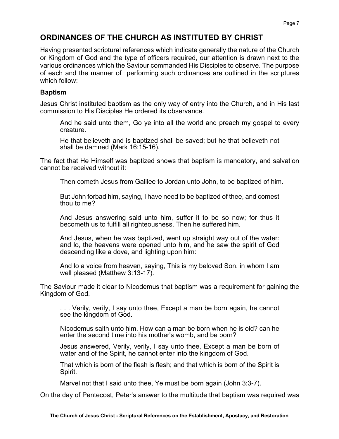# **ORDINANCES OF THE CHURCH AS INSTITUTED BY CHRIST**

Having presented scriptural references which indicate generally the nature of the Church or Kingdom of God and the type of officers required, our attention is drawn next to the various ordinances which the Saviour commanded His Disciples to observe. The purpose of each and the manner of performing such ordinances are outlined in the scriptures which follow:

#### **Baptism**

Jesus Christ instituted baptism as the only way of entry into the Church, and in His last commission to His Disciples He ordered its observance.

And he said unto them, Go ye into all the world and preach my gospel to every creature.

He that believeth and is baptized shall be saved; but he that believeth not shall be damned (Mark 16:15-16).

The fact that He Himself was baptized shows that baptism is mandatory, and salvation cannot be received without it:

Then cometh Jesus from Galilee to Jordan unto John, to be baptized of him.

But John forbad him, saying, I have need to be baptized of thee, and comest thou to me?

And Jesus answering said unto him, suffer it to be so now; for thus it becometh us to fulfill all righteousness. Then he suffered him.

And Jesus, when he was baptized, went up straight way out of the water: and lo, the heavens were opened unto him, and he saw the spirit of God descending like a dove, and lighting upon him:

And lo a voice from heaven, saying, This is my beloved Son, in whom I am well pleased (Matthew 3:13-17).

The Saviour made it clear to Nicodemus that baptism was a requirement for gaining the Kingdom of God.

. . . Verily, verily, I say unto thee, Except a man be born again, he cannot see the kingdom of God.

Nicodemus saith unto him, How can a man be born when he is old? can he enter the second time into his mother's womb, and be born?

Jesus answered, Verily, verily, I say unto thee, Except a man be born of water and of the Spirit, he cannot enter into the kingdom of God.

That which is born of the flesh is flesh; and that which is born of the Spirit is Spirit.

Marvel not that I said unto thee, Ye must be born again (John 3:3-7).

On the day of Pentecost, Peter's answer to the multitude that baptism was required was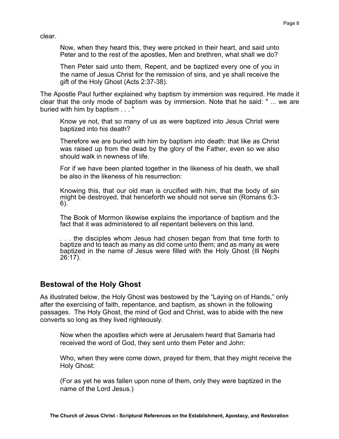clear.

Now, when they heard this, they were pricked in their heart, and said unto Peter and to the rest of the apostles, Men and brethren, what shall we do?

Then Peter said unto them, Repent, and be baptized every one of you in the name of Jesus Christ for the remission of sins, and ye shall receive the gift of the Holy Ghost (Acts 2:37-38).

The Apostle Paul further explained why baptism by immersion was required. He made it clear that the only mode of baptism was by immersion. Note that he said: " ... we are buried with him by baptism . . . "

Know ye not, that so many of us as were baptized into Jesus Christ were baptized into his death?

Therefore we are buried with him by baptism into death: that like as Christ was raised up from the dead by the glory of the Father, even so we also should walk in newness of life.

For if we have been planted together in the likeness of his death, we shall be also in the likeness of his resurrection:

Knowing this, that our old man is crucified with him, that the body of sin might be destroyed, that henceforth we should not serve sin (Romans 6:3-6).

The Book of Mormon likewise explains the importance of baptism and the fact that it was administered to all repentant believers on this land.

. . . the disciples whom Jesus had chosen began from that time forth to baptize and to teach as many as did come unto them; and as many as were baptized in the name of Jesus were filled with the Holy Ghost (Ill Nephi 26:17).

## **Bestowal of the Holy Ghost**

As illustrated below, the Holy Ghost was bestowed by the "Laying on of Hands," only after the exercising of faith, repentance, and baptism, as shown in the following passages. The Holy Ghost, the mind of God and Christ, was to abide with the new converts so long as they lived righteously.

Now when the apostles which were at Jerusalem heard that Samaria had received the word of God, they sent unto them Peter and John:

Who, when they were come down, prayed for them, that they might receive the Holy Ghost:

(For as yet he was fallen upon none of them, only they were baptized in the name of the Lord Jesus.)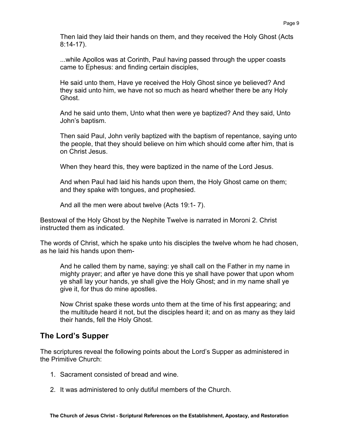Then laid they laid their hands on them, and they received the Holy Ghost (Acts 8:14-17).

...while Apollos was at Corinth, Paul having passed through the upper coasts came to Ephesus: and finding certain disciples,

He said unto them, Have ye received the Holy Ghost since ye believed? And they said unto him, we have not so much as heard whether there be any Holy Ghost.

And he said unto them, Unto what then were ye baptized? And they said, Unto John's baptism.

Then said Paul, John verily baptized with the baptism of repentance, saying unto the people, that they should believe on him which should come after him, that is on Christ Jesus.

When they heard this, they were baptized in the name of the Lord Jesus.

And when Paul had laid his hands upon them, the Holy Ghost came on them; and they spake with tongues, and prophesied.

And all the men were about twelve (Acts 19:1- 7).

Bestowal of the Holy Ghost by the Nephite Twelve is narrated in Moroni 2. Christ instructed them as indicated.

The words of Christ, which he spake unto his disciples the twelve whom he had chosen, as he laid his hands upon them-

And he called them by name, saying: ye shall call on the Father in my name in mighty prayer; and after ye have done this ye shall have power that upon whom ye shall lay your hands, ye shall give the Holy Ghost; and in my name shall ye give it, for thus do mine apostles.

Now Christ spake these words unto them at the time of his first appearing; and the multitude heard it not, but the disciples heard it; and on as many as they laid their hands, fell the Holy Ghost.

# **The Lord's Supper**

The scriptures reveal the following points about the Lord's Supper as administered in the Primitive Church:

- 1. Sacrament consisted of bread and wine.
- 2. It was administered to only dutiful members of the Church.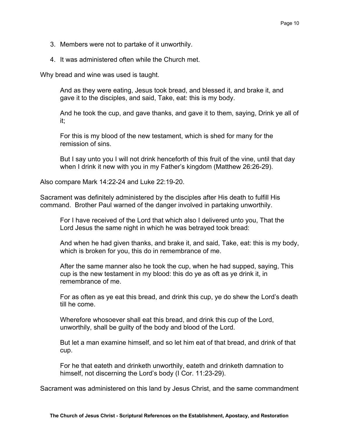- 3. Members were not to partake of it unworthily.
- 4. It was administered often while the Church met.

Why bread and wine was used is taught.

And as they were eating, Jesus took bread, and blessed it, and brake it, and gave it to the disciples, and said, Take, eat: this is my body.

And he took the cup, and gave thanks, and gave it to them, saying, Drink ye all of it;

For this is my blood of the new testament, which is shed for many for the remission of sins.

But I say unto you I will not drink henceforth of this fruit of the vine, until that day when I drink it new with you in my Father's kingdom (Matthew 26:26-29).

Also compare Mark 14:22-24 and Luke 22:19-20.

Sacrament was definitely administered by the disciples after His death to fulfill His command. Brother Paul warned of the danger involved in partaking unworthily.

For I have received of the Lord that which also I delivered unto you, That the Lord Jesus the same night in which he was betrayed took bread:

And when he had given thanks, and brake it, and said, Take, eat: this is my body, which is broken for you, this do in remembrance of me.

After the same manner also he took the cup, when he had supped, saying, This cup is the new testament in my blood: this do ye as oft as ye drink it, in remembrance of me.

For as often as ye eat this bread, and drink this cup, ye do shew the Lord's death till he come.

Wherefore whosoever shall eat this bread, and drink this cup of the Lord, unworthily, shall be guilty of the body and blood of the Lord.

But let a man examine himself, and so let him eat of that bread, and drink of that cup.

For he that eateth and drinketh unworthily, eateth and drinketh damnation to himself, not discerning the Lord's body (I Cor. 11:23-29).

Sacrament was administered on this land by Jesus Christ, and the same commandment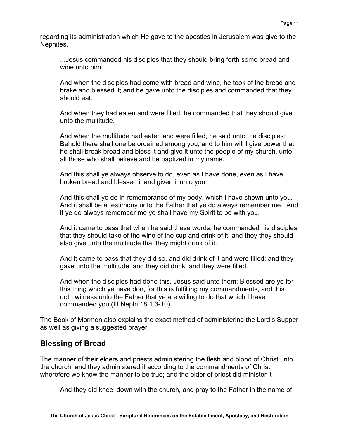regarding its administration which He gave to the apostles in Jerusalem was give to the Nephites.

...Jesus commanded his disciples that they should bring forth some bread and wine unto him.

And when the disciples had come with bread and wine, he took of the bread and brake and blessed it; and he gave unto the disciples and commanded that they should eat.

And when they had eaten and were filled, he commanded that they should give unto the multitude.

And when the multitude had eaten and were filled, he said unto the disciples: Behold there shall one be ordained among you, and to him will I give power that he shall break bread and bless it and give it unto the people of my church, unto all those who shall believe and be baptized in my name.

And this shall ye always observe to do, even as I have done, even as I have broken bread and blessed it and given it unto you.

And this shall ye do in remembrance of my body, which I have shown unto you. And it shall be a testimony unto the Father that ye do always remember me. And if ye do always remember me ye shall have my Spirit to be with you.

And it came to pass that when he said these words, he commanded his disciples that they should take of the wine of the cup and drink of it, and they they should also give unto the multitude that they might drink of it.

And it came to pass that they did so, and did drink of it and were filled; and they gave unto the multitude, and they did drink, and they were filled.

And when the disciples had done this, Jesus said unto them: Blessed are ye for this thing which ye have don, for this is fulfilling my commandments, and this doth witness unto the Father that ye are willing to do that which I have commanded you (III Nephi 18:1,3-10).

The Book of Mormon also explains the exact method of administering the Lord's Supper as well as giving a suggested prayer.

## **Blessing of Bread**

The manner of their elders and priests administering the flesh and blood of Christ unto the church; and they administered it according to the commandments of Christ; wherefore we know the manner to be true; and the elder of priest did minister it-

And they did kneel down with the church, and pray to the Father in the name of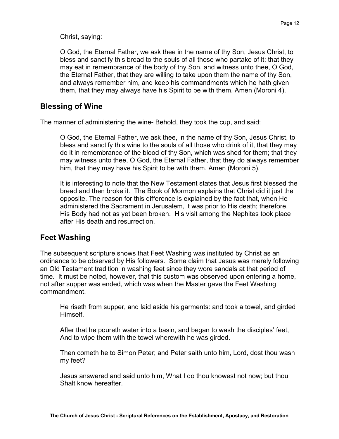Christ, saying:

O God, the Eternal Father, we ask thee in the name of thy Son, Jesus Christ, to bless and sanctify this bread to the souls of all those who partake of it; that they may eat in remembrance of the body of thy Son, and witness unto thee, O God, the Eternal Father, that they are willing to take upon them the name of thy Son, and always remember him, and keep his commandments which he hath given them, that they may always have his Spirit to be with them. Amen (Moroni 4).

#### **Blessing of Wine**

The manner of administering the wine- Behold, they took the cup, and said:

O God, the Eternal Father, we ask thee, in the name of thy Son, Jesus Christ, to bless and sanctify this wine to the souls of all those who drink of it, that they may do it in remembrance of the blood of thy Son, which was shed for them; that they may witness unto thee, O God, the Eternal Father, that they do always remember him, that they may have his Spirit to be with them. Amen (Moroni 5).

It is interesting to note that the New Testament states that Jesus first blessed the bread and then broke it. The Book of Mormon explains that Christ did it just the opposite. The reason for this difference is explained by the fact that, when He administered the Sacrament in Jerusalem, it was prior to His death; therefore, His Body had not as yet been broken. His visit among the Nephites took place after His death and resurrection.

## **Feet Washing**

The subsequent scripture shows that Feet Washing was instituted by Christ as an ordinance to be observed by His followers. Some claim that Jesus was merely following an Old Testament tradition in washing feet since they wore sandals at that period of time. It must be noted, however, that this custom was observed upon entering a home, not after supper was ended, which was when the Master gave the Feet Washing commandment.

He riseth from supper, and laid aside his garments: and took a towel, and girded Himself.

After that he poureth water into a basin, and began to wash the disciples' feet, And to wipe them with the towel wherewith he was girded.

Then cometh he to Simon Peter; and Peter saith unto him, Lord, dost thou wash my feet?

Jesus answered and said unto him, What I do thou knowest not now; but thou Shalt know hereafter.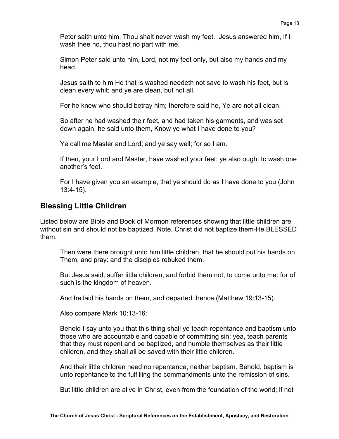Peter saith unto him, Thou shalt never wash my feet. Jesus answered him, If I wash thee no, thou hast no part with me.

Simon Peter said unto him, Lord, not my feet only, but also my hands and my head.

Jesus saith to him He that is washed needeth not save to wash his feet, but is clean every whit; and ye are clean, but not all.

For he knew who should betray him; therefore said he, Ye are not all clean.

So after he had washed their feet, and had taken his garments, and was set down again, he said unto them, Know ye what I have done to you?

Ye call me Master and Lord; and ye say well; for so I am.

If then, your Lord and Master, have washed your feet; ye also ought to wash one another's feet.

For I have given you an example, that ye should do as I have done to you (John 13:4-15).

## **Blessing Little Children**

Listed below are Bible and Book of Mormon references showing that little children are without sin and should not be baptized. Note, Christ did not baptize them-He BLESSED them.

Then were there brought unto him little children, that he should put his hands on Them, and pray: and the disciples rebuked them.

But Jesus said, suffer little children, and forbid them not, to come unto me: for of such is the kingdom of heaven.

And he laid his hands on them, and departed thence (Matthew 19:13-15).

Also compare Mark 10:13-16:

Behold I say unto you that this thing shall ye teach-repentance and baptism unto those who are accountable and capable of committing sin; yea, teach parents that they must repent and be baptized, and humble themselves as their little children, and they shall all be saved with their little children.

And their little children need no repentance, neither baptism. Behold, baptism is unto repentance to the fulfilling the commandments unto the remission of sins.

But little children are alive in Christ, even from the foundation of the world; if not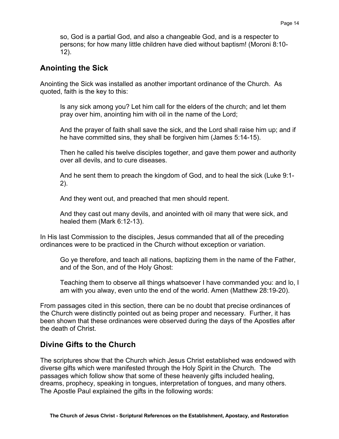so, God is a partial God, and also a changeable God, and is a respecter to persons; for how many little children have died without baptism! (Moroni 8:10- 12).

## **Anointing the Sick**

Anointing the Sick was installed as another important ordinance of the Church. As quoted, faith is the key to this:

Is any sick among you? Let him call for the elders of the church; and let them pray over him, anointing him with oil in the name of the Lord;

And the prayer of faith shall save the sick, and the Lord shall raise him up; and if he have committed sins, they shall be forgiven him (James 5:14-15).

Then he called his twelve disciples together, and gave them power and authority over all devils, and to cure diseases.

And he sent them to preach the kingdom of God, and to heal the sick (Luke 9:1- 2).

And they went out, and preached that men should repent.

And they cast out many devils, and anointed with oil many that were sick, and healed them (Mark 6:12-13).

In His last Commission to the disciples, Jesus commanded that all of the preceding ordinances were to be practiced in the Church without exception or variation.

Go ye therefore, and teach all nations, baptizing them in the name of the Father, and of the Son, and of the Holy Ghost:

Teaching them to observe all things whatsoever I have commanded you: and lo, I am with you alway, even unto the end of the world. Amen (Matthew 28:19-20).

From passages cited in this section, there can be no doubt that precise ordinances of the Church were distinctly pointed out as being proper and necessary. Further, it has been shown that these ordinances were observed during the days of the Apostles after the death of Christ.

# **Divine Gifts to the Church**

The scriptures show that the Church which Jesus Christ established was endowed with diverse gifts which were manifested through the Holy Spirit in the Church. The passages which follow show that some of these heavenly gifts included healing, dreams, prophecy, speaking in tongues, interpretation of tongues, and many others. The Apostle Paul explained the gifts in the following words: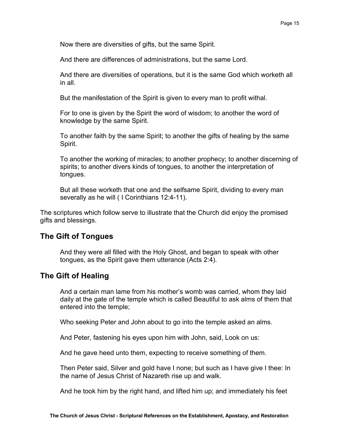Now there are diversities of gifts, but the same Spirit.

And there are differences of administrations, but the same Lord.

And there are diversities of operations, but it is the same God which worketh all in all.

But the manifestation of the Spirit is given to every man to profit withal.

For to one is given by the Spirit the word of wisdom; to another the word of knowledge by the same Spirit.

To another faith by the same Spirit; to another the gifts of healing by the same Spirit.

To another the working of miracles; to another prophecy; to another discerning of spirits; to another divers kinds of tongues, to another the interpretation of tongues.

But all these worketh that one and the selfsame Spirit, dividing to every man severally as he will ( I Corinthians 12:4-11).

The scriptures which follow serve to illustrate that the Church did enjoy the promised gifts and blessings.

#### **The Gift of Tongues**

And they were all filled with the Holy Ghost, and began to speak with other tongues, as the Spirit gave them utterance (Acts 2:4).

#### **The Gift of Healing**

And a certain man lame from his mother's womb was carried, whom they laid daily at the gate of the temple which is called Beautiful to ask alms of them that entered into the temple;

Who seeking Peter and John about to go into the temple asked an alms.

And Peter, fastening his eyes upon him with John, said, Look on us:

And he gave heed unto them, expecting to receive something of them.

Then Peter said, Silver and gold have I none; but such as I have give I thee: In the name of Jesus Christ of Nazareth rise up and walk.

And he took him by the right hand, and lifted him up; and immediately his feet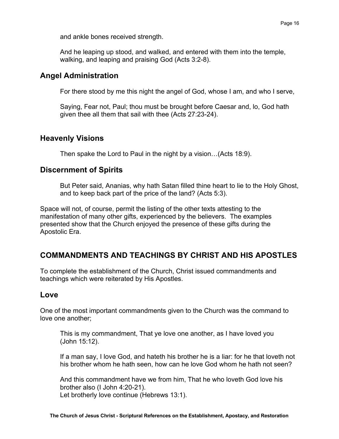and ankle bones received strength.

And he leaping up stood, and walked, and entered with them into the temple, walking, and leaping and praising God (Acts 3:2-8).

#### **Angel Administration**

For there stood by me this night the angel of God, whose I am, and who I serve,

Saying, Fear not, Paul; thou must be brought before Caesar and, lo, God hath given thee all them that sail with thee (Acts 27:23-24).

## **Heavenly Visions**

Then spake the Lord to Paul in the night by a vision…(Acts 18:9).

## **Discernment of Spirits**

But Peter said, Ananias, why hath Satan filled thine heart to lie to the Holy Ghost, and to keep back part of the price of the land? (Acts 5:3).

Space will not, of course, permit the listing of the other texts attesting to the manifestation of many other gifts, experienced by the believers. The examples presented show that the Church enjoyed the presence of these gifts during the Apostolic Era.

# **COMMANDMENTS AND TEACHINGS BY CHRIST AND HIS APOSTLES**

To complete the establishment of the Church, Christ issued commandments and teachings which were reiterated by His Apostles.

#### **Love**

One of the most important commandments given to the Church was the command to love one another;

This is my commandment, That ye love one another, as I have loved you (John 15:12).

If a man say, I love God, and hateth his brother he is a liar: for he that loveth not his brother whom he hath seen, how can he love God whom he hath not seen?

And this commandment have we from him, That he who loveth God love his brother also (I John 4:20-21). Let brotherly love continue (Hebrews 13:1).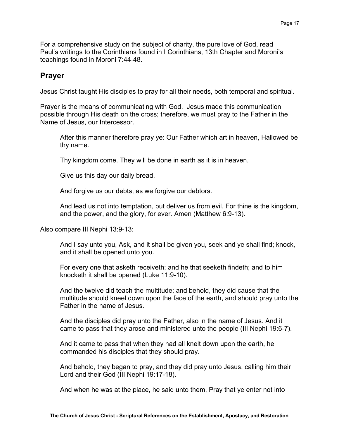For a comprehensive study on the subject of charity, the pure love of God, read Paul's writings to the Corinthians found in I Corinthians, 13th Chapter and Moroni's teachings found in Moroni 7:44-48.

#### **Prayer**

Jesus Christ taught His disciples to pray for all their needs, both temporal and spiritual.

Prayer is the means of communicating with God. Jesus made this communication possible through His death on the cross; therefore, we must pray to the Father in the Name of Jesus, our Intercessor.

After this manner therefore pray ye: Our Father which art in heaven, Hallowed be thy name.

Thy kingdom come. They will be done in earth as it is in heaven.

Give us this day our daily bread.

And forgive us our debts, as we forgive our debtors.

And lead us not into temptation, but deliver us from evil. For thine is the kingdom, and the power, and the glory, for ever. Amen (Matthew 6:9-13).

Also compare III Nephi 13:9-13:

And I say unto you, Ask, and it shall be given you, seek and ye shall find; knock, and it shall be opened unto you.

For every one that asketh receiveth; and he that seeketh findeth; and to him knocketh it shall be opened (Luke 11:9-10).

And the twelve did teach the multitude; and behold, they did cause that the multitude should kneel down upon the face of the earth, and should pray unto the Father in the name of Jesus.

And the disciples did pray unto the Father, also in the name of Jesus. And it came to pass that they arose and ministered unto the people (III Nephi 19:6-7).

And it came to pass that when they had all knelt down upon the earth, he commanded his disciples that they should pray.

And behold, they began to pray, and they did pray unto Jesus, calling him their Lord and their God (III Nephi 19:17-18).

And when he was at the place, he said unto them, Pray that ye enter not into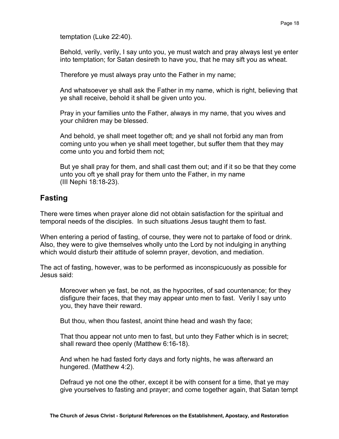temptation (Luke 22:40).

Behold, verily, verily, I say unto you, ye must watch and pray always lest ye enter into temptation; for Satan desireth to have you, that he may sift you as wheat.

Therefore ye must always pray unto the Father in my name;

And whatsoever ye shall ask the Father in my name, which is right, believing that ye shall receive, behold it shall be given unto you.

Pray in your families unto the Father, always in my name, that you wives and your children may be blessed.

And behold, ye shall meet together oft; and ye shall not forbid any man from coming unto you when ye shall meet together, but suffer them that they may come unto you and forbid them not;

But ye shall pray for them, and shall cast them out; and if it so be that they come unto you oft ye shall pray for them unto the Father, in my name (III Nephi 18:18-23).

# **Fasting**

There were times when prayer alone did not obtain satisfaction for the spiritual and temporal needs of the disciples. In such situations Jesus taught them to fast.

When entering a period of fasting, of course, they were not to partake of food or drink. Also, they were to give themselves wholly unto the Lord by not indulging in anything which would disturb their attitude of solemn prayer, devotion, and mediation.

The act of fasting, however, was to be performed as inconspicuously as possible for Jesus said:

Moreover when ye fast, be not, as the hypocrites, of sad countenance; for they disfigure their faces, that they may appear unto men to fast. Verily I say unto you, they have their reward.

But thou, when thou fastest, anoint thine head and wash thy face;

That thou appear not unto men to fast, but unto they Father which is in secret; shall reward thee openly (Matthew 6:16-18).

And when he had fasted forty days and forty nights, he was afterward an hungered. (Matthew 4:2).

Defraud ye not one the other, except it be with consent for a time, that ye may give yourselves to fasting and prayer; and come together again, that Satan tempt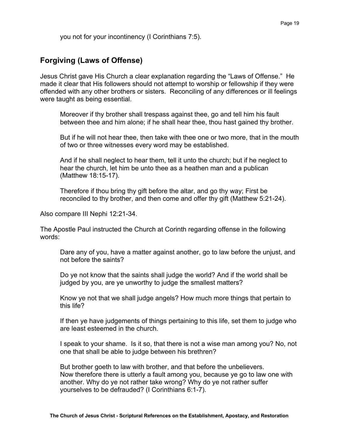you not for your incontinency (I Corinthians 7:5).

## **Forgiving (Laws of Offense)**

Jesus Christ gave His Church a clear explanation regarding the "Laws of Offense." He made it clear that His followers should not attempt to worship or fellowship if they were offended with any other brothers or sisters. Reconciling of any differences or ill feelings were taught as being essential.

Moreover if thy brother shall trespass against thee, go and tell him his fault between thee and him alone; if he shall hear thee, thou hast gained thy brother.

But if he will not hear thee, then take with thee one or two more, that in the mouth of two or three witnesses every word may be established.

And if he shall neglect to hear them, tell it unto the church; but if he neglect to hear the church, let him be unto thee as a heathen man and a publican (Matthew 18:15-17).

Therefore if thou bring thy gift before the altar, and go thy way; First be reconciled to thy brother, and then come and offer thy gift (Matthew 5:21-24).

Also compare III Nephi 12:21-34.

The Apostle Paul instructed the Church at Corinth regarding offense in the following words:

Dare any of you, have a matter against another, go to law before the unjust, and not before the saints?

Do ye not know that the saints shall judge the world? And if the world shall be judged by you, are ye unworthy to judge the smallest matters?

Know ye not that we shall judge angels? How much more things that pertain to this life?

If then ye have judgements of things pertaining to this life, set them to judge who are least esteemed in the church.

I speak to your shame. Is it so, that there is not a wise man among you? No, not one that shall be able to judge between his brethren?

But brother goeth to law with brother, and that before the unbelievers. Now therefore there is utterly a fault among you, because ye go to law one with another. Why do ye not rather take wrong? Why do ye not rather suffer yourselves to be defrauded? (I Corinthians 6:1-7).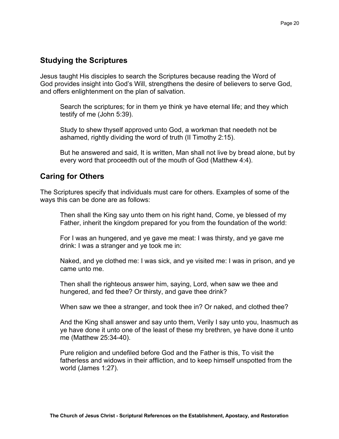## **Studying the Scriptures**

Jesus taught His disciples to search the Scriptures because reading the Word of God provides insight into God's Will, strengthens the desire of believers to serve God, and offers enlightenment on the plan of salvation.

Search the scriptures; for in them ye think ye have eternal life; and they which testify of me (John 5:39).

Study to shew thyself approved unto God, a workman that needeth not be ashamed, rightly dividing the word of truth (II Timothy 2:15).

But he answered and said, It is written, Man shall not live by bread alone, but by every word that proceedth out of the mouth of God (Matthew 4:4).

## **Caring for Others**

The Scriptures specify that individuals must care for others. Examples of some of the ways this can be done are as follows:

Then shall the King say unto them on his right hand, Come, ye blessed of my Father, inherit the kingdom prepared for you from the foundation of the world:

For I was an hungered, and ye gave me meat: I was thirsty, and ye gave me drink: I was a stranger and ye took me in:

Naked, and ye clothed me: I was sick, and ye visited me: I was in prison, and ye came unto me.

Then shall the righteous answer him, saying, Lord, when saw we thee and hungered, and fed thee? Or thirsty, and gave thee drink?

When saw we thee a stranger, and took thee in? Or naked, and clothed thee?

And the King shall answer and say unto them, Verily I say unto you, Inasmuch as ye have done it unto one of the least of these my brethren, ye have done it unto me (Matthew 25:34-40).

Pure religion and undefiled before God and the Father is this, To visit the fatherless and widows in their affliction, and to keep himself unspotted from the world (James 1:27).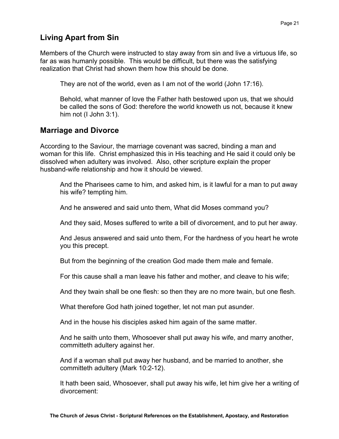## **Living Apart from Sin**

Members of the Church were instructed to stay away from sin and live a virtuous life, so far as was humanly possible. This would be difficult, but there was the satisfying realization that Christ had shown them how this should be done.

They are not of the world, even as I am not of the world (John 17:16).

Behold, what manner of love the Father hath bestowed upon us, that we should be called the sons of God: therefore the world knoweth us not, because it knew him not (I John 3:1).

#### **Marriage and Divorce**

According to the Saviour, the marriage covenant was sacred, binding a man and woman for this life. Christ emphasized this in His teaching and He said it could only be dissolved when adultery was involved. Also, other scripture explain the proper husband-wife relationship and how it should be viewed.

And the Pharisees came to him, and asked him, is it lawful for a man to put away his wife? tempting him.

And he answered and said unto them, What did Moses command you?

And they said, Moses suffered to write a bill of divorcement, and to put her away.

And Jesus answered and said unto them, For the hardness of you heart he wrote you this precept.

But from the beginning of the creation God made them male and female.

For this cause shall a man leave his father and mother, and cleave to his wife;

And they twain shall be one flesh: so then they are no more twain, but one flesh.

What therefore God hath joined together, let not man put asunder.

And in the house his disciples asked him again of the same matter.

And he saith unto them, Whosoever shall put away his wife, and marry another, committeth adultery against her.

And if a woman shall put away her husband, and be married to another, she committeth adultery (Mark 10:2-12).

It hath been said, Whosoever, shall put away his wife, let him give her a writing of divorcement: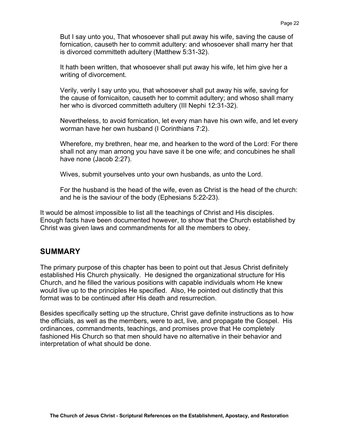But I say unto you, That whosoever shall put away his wife, saving the cause of fornication, causeth her to commit adultery: and whosoever shall marry her that is divorced committeth adultery (Matthew 5:31-32).

It hath been written, that whosoever shall put away his wife, let him give her a writing of divorcement.

Verily, verily I say unto you, that whosoever shall put away his wife, saving for the cause of fornicaiton, causeth her to commit adultery; and whoso shall marry her who is divorced committeth adultery (III Nephi 12:31-32).

Nevertheless, to avoid fornication, let every man have his own wife, and let every worman have her own husband (I Corinthians 7:2).

Wherefore, my brethren, hear me, and hearken to the word of the Lord: For there shall not any man among you have save it be one wife; and concubines he shall have none (Jacob 2:27).

Wives, submit yourselves unto your own husbands, as unto the Lord.

For the husband is the head of the wife, even as Christ is the head of the church: and he is the saviour of the body (Ephesians 5:22-23).

It would be almost impossible to list all the teachings of Christ and His disciples. Enough facts have been documented however, to show that the Church established by Christ was given laws and commandments for all the members to obey.

#### **SUMMARY**

The primary purpose of this chapter has been to point out that Jesus Christ definitely established His Church physically. He designed the organizational structure for His Church, and he filled the various positions with capable individuals whom He knew would live up to the principles He specified. Also, He pointed out distinctly that this format was to be continued after His death and resurrection.

Besides specifically setting up the structure, Christ gave definite instructions as to how the officials, as well as the members, were to act, live, and propagate the Gospel. His ordinances, commandments, teachings, and promises prove that He completely fashioned His Church so that men should have no alternative in their behavior and interpretation of what should be done.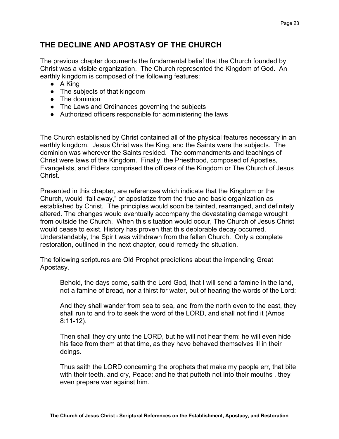# **THE DECLINE AND APOSTASY OF THE CHURCH**

The previous chapter documents the fundamental belief that the Church founded by Christ was a visible organization. The Church represented the Kingdom of God. An earthly kingdom is composed of the following features:

- A King
- The subjects of that kingdom
- The dominion
- The Laws and Ordinances governing the subjects
- Authorized officers responsible for administering the laws

The Church established by Christ contained all of the physical features necessary in an earthly kingdom. Jesus Christ was the King, and the Saints were the subjects. The dominion was wherever the Saints resided. The commandments and teachings of Christ were laws of the Kingdom. Finally, the Priesthood, composed of Apostles, Evangelists, and Elders comprised the officers of the Kingdom or The Church of Jesus Christ.

Presented in this chapter, are references which indicate that the Kingdom or the Church, would "fall away," or apostatize from the true and basic organization as established by Christ. The principles would soon be tainted, rearranged, and definitely altered. The changes would eventually accompany the devastating damage wrought from outside the Church. When this situation would occur, The Church of Jesus Christ would cease to exist. History has proven that this deplorable decay occurred. Understandably, the Spirit was withdrawn from the fallen Church. Only a complete restoration, outlined in the next chapter, could remedy the situation.

The following scriptures are Old Prophet predictions about the impending Great Apostasy.

Behold, the days come, saith the Lord God, that I will send a famine in the land, not a famine of bread, nor a thirst for water, but of hearing the words of the Lord:

And they shall wander from sea to sea, and from the north even to the east, they shall run to and fro to seek the word of the LORD, and shall not find it (Amos 8:11-12).

Then shall they cry unto the LORD, but he will not hear them: he will even hide his face from them at that time, as they have behaved themselves ill in their doings.

Thus saith the LORD concerning the prophets that make my people err, that bite with their teeth, and cry, Peace; and he that putteth not into their mouths , they even prepare war against him.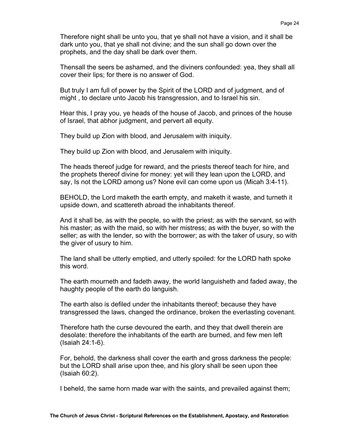Therefore night shall be unto you, that ye shall not have a vision, and it shall be dark unto you, that ye shall not divine; and the sun shall go down over the prophets, and the day shall be dark over them.

Thensall the seers be ashamed, and the diviners confounded: yea, they shall all cover their lips; for there is no answer of God.

But truly I am full of power by the Spirit of the LORD and of judgment, and of might , to declare unto Jacob his transgression, and to Israel his sin.

Hear this, I pray you, ye heads of the house of Jacob, and princes of the house of Israel, that abhor judgment, and pervert all equity.

They build up Zion with blood, and Jerusalem with iniquity.

They build up Zion with blood, and Jerusalem with iniquity.

The heads thereof judge for reward, and the priests thereof teach for hire, and the prophets thereof divine for money: yet will they lean upon the LORD, and say, Is not the LORD among us? None evil can come upon us (Micah 3:4-11).

BEHOLD, the Lord maketh the earth empty, and maketh it waste, and turneth it upside down, and scattereth abroad the inhabitants thereof.

And it shall be, as with the people, so with the priest; as with the servant, so with his master; as with the maid, so with her mistress; as with the buyer, so with the seller; as with the lender, so with the borrower; as with the taker of usury, so with the giver of usury to him.

The land shall be utterly emptied, and utterly spoiled: for the LORD hath spoke this word.

The earth mourneth and fadeth away, the world languisheth and faded away, the haughty people of the earth do languish.

The earth also is defiled under the inhabitants thereof; because they have transgressed the laws, changed the ordinance, broken the everlasting covenant.

Therefore hath the curse devoured the earth, and they that dwell therein are desolate: therefore the inhabitants of the earth are burned, and few men left (Isaiah 24:1-6).

For, behold, the darkness shall cover the earth and gross darkness the people: but the LORD shall arise upon thee, and his glory shall be seen upon thee (Isaiah 60:2).

I beheld, the same horn made war with the saints, and prevailed against them;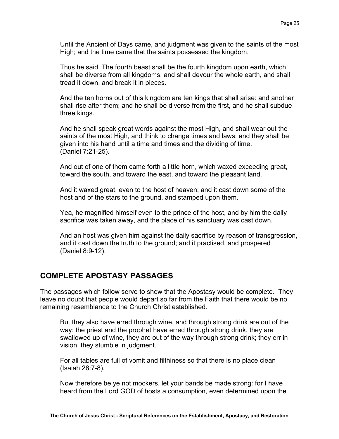Until the Ancient of Days came, and judgment was given to the saints of the most High; and the time came that the saints possessed the kingdom.

Thus he said, The fourth beast shall be the fourth kingdom upon earth, which shall be diverse from all kingdoms, and shall devour the whole earth, and shall tread it down, and break it in pieces.

And the ten horns out of this kingdom are ten kings that shall arise: and another shall rise after them; and he shall be diverse from the first, and he shall subdue three kings.

And he shall speak great words against the most High, and shall wear out the saints of the most High, and think to change times and laws: and they shall be given into his hand until a time and times and the dividing of time. (Daniel 7:21-25).

And out of one of them came forth a little horn, which waxed exceeding great, toward the south, and toward the east, and toward the pleasant land.

And it waxed great, even to the host of heaven; and it cast down some of the host and of the stars to the ground, and stamped upon them.

Yea, he magnified himself even to the prince of the host, and by him the daily sacrifice was taken away, and the place of his sanctuary was cast down.

And an host was given him against the daily sacrifice by reason of transgression, and it cast down the truth to the ground; and it practised, and prospered (Daniel 8:9-12).

#### **COMPLETE APOSTASY PASSAGES**

The passages which follow serve to show that the Apostasy would be complete. They leave no doubt that people would depart so far from the Faith that there would be no remaining resemblance to the Church Christ established.

But they also have erred through wine, and through strong drink are out of the way; the priest and the prophet have erred through strong drink, they are swallowed up of wine, they are out of the way through strong drink; they err in vision, they stumble in judgment.

For all tables are full of vomit and filthiness so that there is no place clean (Isaiah 28:7-8).

Now therefore be ye not mockers, let your bands be made strong: for I have heard from the Lord GOD of hosts a consumption, even determined upon the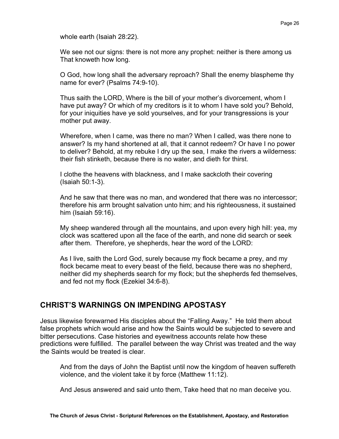whole earth (Isaiah 28:22).

We see not our signs: there is not more any prophet: neither is there among us That knoweth how long.

O God, how long shall the adversary reproach? Shall the enemy blaspheme thy name for ever? (Psalms 74:9-10).

Thus saith the LORD, Where is the bill of your mother's divorcement, whom I have put away? Or which of my creditors is it to whom I have sold you? Behold, for your iniquities have ye sold yourselves, and for your transgressions is your mother put away.

Wherefore, when I came, was there no man? When I called, was there none to answer? Is my hand shortened at all, that it cannot redeem? Or have I no power to deliver? Behold, at my rebuke I dry up the sea, I make the rivers a wilderness: their fish stinketh, because there is no water, and dieth for thirst.

I clothe the heavens with blackness, and I make sackcloth their covering (Isaiah 50:1-3).

And he saw that there was no man, and wondered that there was no intercessor; therefore his arm brought salvation unto him; and his righteousness, it sustained him (Isaiah 59:16).

My sheep wandered through all the mountains, and upon every high hill: yea, my clock was scattered upon all the face of the earth, and none did search or seek after them. Therefore, ye shepherds, hear the word of the LORD:

As I live, saith the Lord God, surely because my flock became a prey, and my flock became meat to every beast of the field, because there was no shepherd, neither did my shepherds search for my flock; but the shepherds fed themselves, and fed not my flock (Ezekiel 34:6-8).

## **CHRIST'S WARNINGS ON IMPENDING APOSTASY**

Jesus likewise forewarned His disciples about the "Falling Away." He told them about false prophets which would arise and how the Saints would be subjected to severe and bitter persecutions. Case histories and eyewitness accounts relate how these predictions were fulfilled. The parallel between the way Christ was treated and the way the Saints would be treated is clear.

And from the days of John the Baptist until now the kingdom of heaven suffereth violence, and the violent take it by force (Matthew 11:12).

And Jesus answered and said unto them, Take heed that no man deceive you.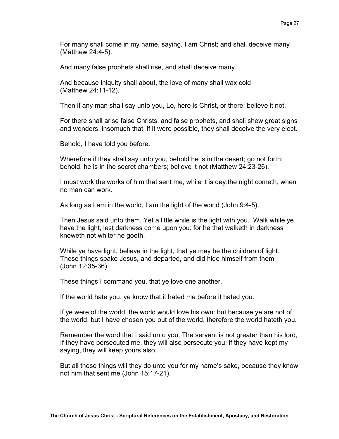For many shall come in my name, saying, I am Christ; and shall deceive many (Matthew 24:4-5).

And many false prophets shall rise, and shall deceive many.

And because iniquity shall about, the love of many shall wax cold (Matthew 24:11-12).

Then if any man shall say unto you, Lo, here is Christ, or there; believe it not.

For there shall arise false Christs, and false prophets, and shall shew great signs and wonders; insomuch that, if it were possible, they shall deceive the very elect.

Behold, I have told you before.

Wherefore if they shall say unto you, behold he is in the desert; go not forth: behold, he is in the secret chambers; believe it not (Matthew 24:23-26).

I must work the works of him that sent me, while it is day:the night cometh, when no man can work.

As long as I am in the world, I am the light of the world (John 9:4-5).

Then Jesus said unto them, Yet a little while is the light with you. Walk while ye have the light, lest darkness come upon you: for he that walketh in darkness knoweth not whiter he goeth.

While ye have light, believe in the light, that ye may be the children of light. These things spake Jesus, and departed, and did hide himself from them (John 12:35-36).

These things I command you, that ye love one another.

If the world hate you, ye know that it hated me before it hated you.

If ye were of the world, the world would love his own: but because ye are not of the world, but I have chosen you out of the world, therefore the world hateth you.

Remember the word that I said unto you, The servant is not greater than his lord, If they have persecuted me, they will also persecute you; if they have kept my saying, they will keep yours also.

But all these things will they do unto you for my name's sake, because they know not him that sent me (John 15:17-21).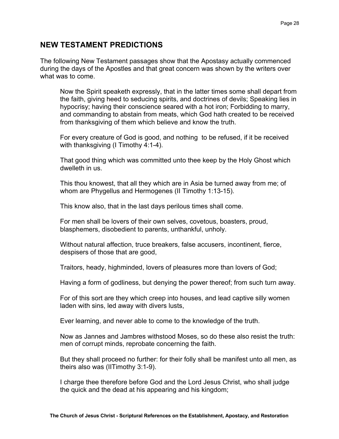## **NEW TESTAMENT PREDICTIONS**

The following New Testament passages show that the Apostasy actually commenced during the days of the Apostles and that great concern was shown by the writers over what was to come.

Now the Spirit speaketh expressly, that in the latter times some shall depart from the faith, giving heed to seducing spirits, and doctrines of devils; Speaking lies in hypocrisy; having their conscience seared with a hot iron; Forbidding to marry, and commanding to abstain from meats, which God hath created to be received from thanksgiving of them which believe and know the truth.

For every creature of God is good, and nothing to be refused, if it be received with thanksgiving (I Timothy 4:1-4).

That good thing which was committed unto thee keep by the Holy Ghost which dwelleth in us.

This thou knowest, that all they which are in Asia be turned away from me; of whom are Phygellus and Hermogenes (II Timothy 1:13-15).

This know also, that in the last days perilous times shall come.

For men shall be lovers of their own selves, covetous, boasters, proud, blasphemers, disobedient to parents, unthankful, unholy.

Without natural affection, truce breakers, false accusers, incontinent, fierce, despisers of those that are good,

Traitors, heady, highminded, lovers of pleasures more than lovers of God;

Having a form of godliness, but denying the power thereof; from such turn away.

For of this sort are they which creep into houses, and lead captive silly women laden with sins, led away with divers lusts,

Ever learning, and never able to come to the knowledge of the truth.

Now as Jannes and Jambres withstood Moses, so do these also resist the truth: men of corrupt minds, reprobate concerning the faith.

But they shall proceed no further: for their folly shall be manifest unto all men, as theirs also was (IITimothy 3:1-9).

I charge thee therefore before God and the Lord Jesus Christ, who shall judge the quick and the dead at his appearing and his kingdom;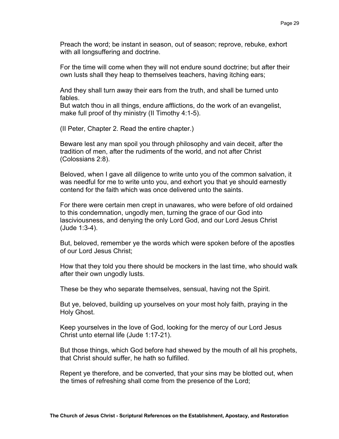Preach the word; be instant in season, out of season; reprove, rebuke, exhort with all longsuffering and doctrine.

For the time will come when they will not endure sound doctrine; but after their own lusts shall they heap to themselves teachers, having itching ears;

And they shall turn away their ears from the truth, and shall be turned unto fables.

But watch thou in all things, endure afflictions, do the work of an evangelist, make full proof of thy ministry (II Timothy 4:1-5).

(II Peter, Chapter 2. Read the entire chapter.)

Beware lest any man spoil you through philosophy and vain deceit, after the tradition of men, after the rudiments of the world, and not after Christ (Colossians 2:8).

Beloved, when I gave all diligence to write unto you of the common salvation, it was needful for me to write unto you, and exhort you that ye should earnestly contend for the faith which was once delivered unto the saints.

For there were certain men crept in unawares, who were before of old ordained to this condemnation, ungodly men, turning the grace of our God into lasciviousness, and denying the only Lord God, and our Lord Jesus Christ (Jude 1:3-4).

But, beloved, remember ye the words which were spoken before of the apostles of our Lord Jesus Christ;

How that they told you there should be mockers in the last time, who should walk after their own ungodly lusts.

These be they who separate themselves, sensual, having not the Spirit.

But ye, beloved, building up yourselves on your most holy faith, praying in the Holy Ghost.

Keep yourselves in the love of God, looking for the mercy of our Lord Jesus Christ unto eternal life (Jude 1:17-21).

But those things, which God before had shewed by the mouth of all his prophets, that Christ should suffer, he hath so fulfilled.

Repent ye therefore, and be converted, that your sins may be blotted out, when the times of refreshing shall come from the presence of the Lord;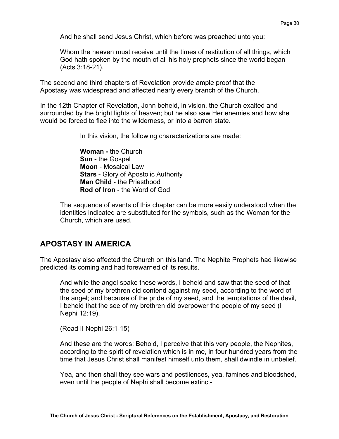And he shall send Jesus Christ, which before was preached unto you:

Whom the heaven must receive until the times of restitution of all things, which God hath spoken by the mouth of all his holy prophets since the world began (Acts 3:18-21).

The second and third chapters of Revelation provide ample proof that the Apostasy was widespread and affected nearly every branch of the Church.

In the 12th Chapter of Revelation, John beheld, in vision, the Church exalted and surrounded by the bright lights of heaven; but he also saw Her enemies and how she would be forced to flee into the wilderness, or into a barren state.

In this vision, the following characterizations are made:

**Woman -** the Church **Sun** - the Gospel **Moon** - Mosaical Law **Stars** - Glory of Apostolic Authority **Man Child** - the Priesthood **Rod of Iron** - the Word of God

The sequence of events of this chapter can be more easily understood when the identities indicated are substituted for the symbols, such as the Woman for the Church, which are used.

#### **APOSTASY IN AMERICA**

The Apostasy also affected the Church on this land. The Nephite Prophets had likewise predicted its coming and had forewarned of its results.

And while the angel spake these words, I beheld and saw that the seed of that the seed of my brethren did contend against my seed, according to the word of the angel; and because of the pride of my seed, and the temptations of the devil, I beheld that the see of my brethren did overpower the people of my seed (I Nephi 12:19).

(Read II Nephi 26:1-15)

And these are the words: Behold, I perceive that this very people, the Nephites, according to the spirit of revelation which is in me, in four hundred years from the time that Jesus Christ shall manifest himself unto them, shall dwindle in unbelief.

Yea, and then shall they see wars and pestilences, yea, famines and bloodshed, even until the people of Nephi shall become extinct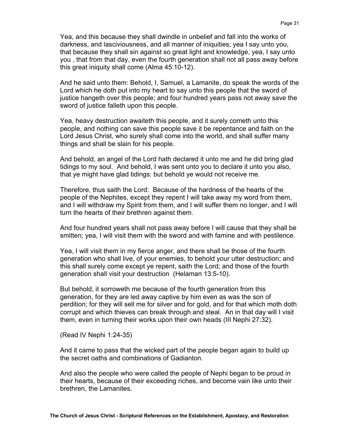Yea, and this because they shall dwindle in unbelief and fall into the works of darkness, and lasciviousness, and all manner of iniquities; yea I say unto you, that because they shall sin against so great light and knowledge, yea, I say unto you , that from that day, even the fourth generation shall not all pass away before this great iniquity shall come (Alma 45:10-12).

And he said unto them: Behold, I, Samuel, a Lamanite, do speak the words of the Lord which he doth put into my heart to say unto this people that the sword of justice hangeth over this people; and four hundred years pass not away save the sword of justice falleth upon this people.

Yea, heavy destruction awaiteth this people, and it surely cometh unto this people, and nothing can save this people save it be repentance and faith on the Lord Jesus Christ, who surely shall come into the world, and shall suffer many things and shall be slain for his people.

And behold, an angel of the Lord hath declared it unto me and he did bring glad tidings to my soul. And behold, I was sent unto you to declare it unto you also, that ye might have glad tidings: but behold ye would not receive me.

Therefore, thus saith the Lord: Because of the hardness of the hearts of the people of the Nephites, except they repent I will take away my word from them, and I will withdraw my Spirit from them, and I will suffer them no longer, and I will turn the hearts of their brethren against them.

And four hundred years shall not pass away before I will cause that they shall be smitten; yea, I will visit them with the sword and with famine and with pestilence.

Yea, I will visit them in my fierce anger, and there shall be those of the fourth generation who shall live, of your enemies, to behold your utter destruction; and this shall surely come except ye repent, saith the Lord; and those of the fourth generation shall visit your destruction (Helaman 13:5-10).

But behold, it sorroweth me because of the fourth generation from this generation, for they are led away captive by him even as was the son of perdition; for they will sell me for silver and for gold, and for that which moth doth corrupt and which thieves can break through and steal. An in that day will I visit them, even in turning their works upon their own heads (III Nephi 27:32).

(Read IV Nephi 1:24-35)

And it came to pass that the wicked part of the people began again to build up the secret oaths and combinations of Gadianton.

And also the people who were called the people of Nephi began to be proud in their hearts, because of their exceeding riches, and become vain like unto their brethren, the Lamanites.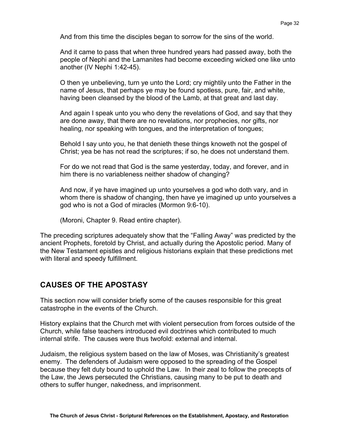And from this time the disciples began to sorrow for the sins of the world.

And it came to pass that when three hundred years had passed away, both the people of Nephi and the Lamanites had become exceeding wicked one like unto another (IV Nephi 1:42-45).

O then ye unbelieving, turn ye unto the Lord; cry mightily unto the Father in the name of Jesus, that perhaps ye may be found spotless, pure, fair, and white, having been cleansed by the blood of the Lamb, at that great and last day.

And again I speak unto you who deny the revelations of God, and say that they are done away, that there are no revelations, nor prophecies, nor gifts, nor healing, nor speaking with tongues, and the interpretation of tongues;

Behold I say unto you, he that denieth these things knoweth not the gospel of Christ; yea be has not read the scriptures; if so, he does not understand them.

For do we not read that God is the same yesterday, today, and forever, and in him there is no variableness neither shadow of changing?

And now, if ye have imagined up unto yourselves a god who doth vary, and in whom there is shadow of changing, then have ye imagined up unto yourselves a god who is not a God of miracles (Mormon 9:6-10).

(Moroni, Chapter 9. Read entire chapter).

The preceding scriptures adequately show that the "Falling Away" was predicted by the ancient Prophets, foretold by Christ, and actually during the Apostolic period. Many of the New Testament epistles and religious historians explain that these predictions met with literal and speedy fulfillment.

# **CAUSES OF THE APOSTASY**

This section now will consider briefly some of the causes responsible for this great catastrophe in the events of the Church.

History explains that the Church met with violent persecution from forces outside of the Church, while false teachers introduced evil doctrines which contributed to much internal strife. The causes were thus twofold: external and internal.

Judaism, the religious system based on the law of Moses, was Christianity's greatest enemy. The defenders of Judaism were opposed to the spreading of the Gospel because they felt duty bound to uphold the Law. In their zeal to follow the precepts of the Law, the Jews persecuted the Christians, causing many to be put to death and others to suffer hunger, nakedness, and imprisonment.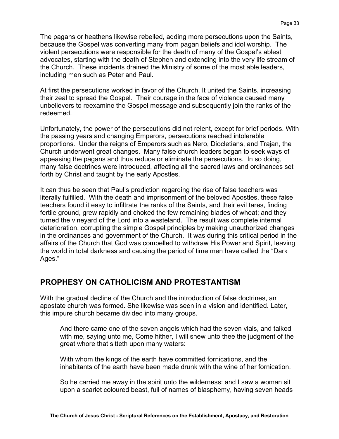The pagans or heathens likewise rebelled, adding more persecutions upon the Saints, because the Gospel was converting many from pagan beliefs and idol worship. The violent persecutions were responsible for the death of many of the Gospel's ablest advocates, starting with the death of Stephen and extending into the very life stream of the Church. These incidents drained the Ministry of some of the most able leaders, including men such as Peter and Paul.

At first the persecutions worked in favor of the Church. It united the Saints, increasing their zeal to spread the Gospel. Their courage in the face of violence caused many unbelievers to reexamine the Gospel message and subsequently join the ranks of the redeemed.

Unfortunately, the power of the persecutions did not relent, except for brief periods. With the passing years and changing Emperors, persecutions reached intolerable proportions. Under the reigns of Emperors such as Nero, Diocletians, and Trajan, the Church underwent great changes. Many false church leaders began to seek ways of appeasing the pagans and thus reduce or eliminate the persecutions. In so doing, many false doctrines were introduced, affecting all the sacred laws and ordinances set forth by Christ and taught by the early Apostles.

It can thus be seen that Paul's prediction regarding the rise of false teachers was literally fulfilled. With the death and imprisonment of the beloved Apostles, these false teachers found it easy to infiltrate the ranks of the Saints, and their evil tares, finding fertile ground, grew rapidly and choked the few remaining blades of wheat; and they turned the vineyard of the Lord into a wasteland. The result was complete internal deterioration, corrupting the simple Gospel principles by making unauthorized changes in the ordinances and government of the Church. It was during this critical period in the affairs of the Church that God was compelled to withdraw His Power and Spirit, leaving the world in total darkness and causing the period of time men have called the "Dark Ages."

## **PROPHESY ON CATHOLICISM AND PROTESTANTISM**

With the gradual decline of the Church and the introduction of false doctrines, an apostate church was formed. She likewise was seen in a vision and identified. Later, this impure church became divided into many groups.

And there came one of the seven angels which had the seven vials, and talked with me, saying unto me, Come hither, I will shew unto thee the judgment of the great whore that sitteth upon many waters:

With whom the kings of the earth have committed fornications, and the inhabitants of the earth have been made drunk with the wine of her fornication.

So he carried me away in the spirit unto the wilderness: and I saw a woman sit upon a scarlet coloured beast, full of names of blasphemy, having seven heads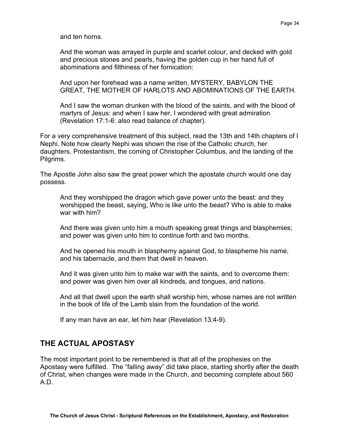and ten horns.

And the woman was arrayed in purple and scarlet colour, and decked with gold and precious stones and pearls, having the golden cup in her hand full of abominations and filthiness of her fornication:

And upon her forehead was a name written, MYSTERY, BABYLON THE GREAT, THE MOTHER OF HARLOTS AND ABOMINATIONS OF THE EARTH.

And I saw the woman drunken with the blood of the saints, and with the blood of martyrs of Jesus: and when I saw her, I wondered with great admiration (Revelation 17:1-6: also read balance of chapter).

For a very comprehensive treatment of this subject, read the 13th and 14th chapters of I Nephi. Note how clearly Nephi was shown the rise of the Catholic church, her daughters, Protestantism, the coming of Christopher Columbus, and the landing of the Pilgrims.

The Apostle John also saw the great power which the apostate church would one day possess.

And they worshipped the dragon which gave power unto the beast: and they worshipped the beast, saying, Who is like unto the beast? Who is able to make war with him?

And there was given unto him a mouth speaking great things and blasphemies; and power was given unto him to continue forth and two months.

And he opened his mouth in blasphemy against God, to blaspheme his name, and his tabernacle, and them that dwell in heaven.

And it was given unto him to make war with the saints, and to overcome them: and power was given him over all kindreds, and tongues, and nations.

And all that dwell upon the earth shall worship him, whose names are not written in the book of life of the Lamb slain from the foundation of the world.

If any man have an ear, let him hear (Revelation 13:4-9).

## **THE ACTUAL APOSTASY**

The most important point to be remembered is that all of the prophesies on the Apostasy were fulfilled. The "falling away" did take place, starting shortly after the death of Christ, when changes were made in the Church, and becoming complete about 560 A.D.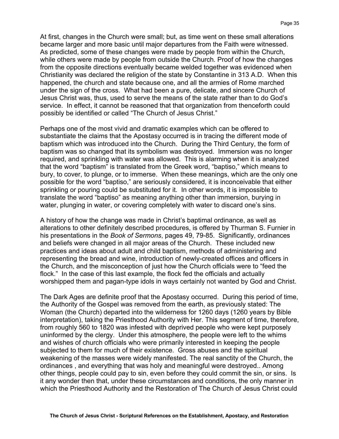At first, changes in the Church were small; but, as time went on these small alterations became larger and more basic until major departures from the Faith were witnessed. As predicted, some of these changes were made by people from within the Church, while others were made by people from outside the Church. Proof of how the changes from the opposite directions eventually became welded together was evidenced when Christianity was declared the religion of the state by Constantine in 313 A.D. When this happened, the church and state because one, and all the armies of Rome marched under the sign of the cross. What had been a pure, delicate, and sincere Church of Jesus Christ was, thus, used to serve the means of the state rather than to do God's service. In effect, it cannot be reasoned that that organization from thenceforth could possibly be identified or called "The Church of Jesus Christ."

Perhaps one of the most vivid and dramatic examples which can be offered to substantiate the claims that the Apostasy occurred is in tracing the different mode of baptism which was introduced into the Church. During the Third Century, the form of baptism was so changed that its symbolism was destroyed. Immersion was no longer required, and sprinkling with water was allowed. This is alarming when it is analyzed that the word "baptism" is translated from the Greek word, "baptiso," which means to bury, to cover, to plunge, or to immerse. When these meanings, which are the only one possible for the word "baptiso," are seriously considered, it is inconceivable that either sprinkling or pouring could be substituted for it. In other words, it is impossible to translate the word "baptiso" as meaning anything other than immersion, burying in water, plunging in water, or covering completely with water to discard one's sins.

A history of how the change was made in Christ's baptimal ordinance, as well as alterations to other definitely described procedures, is offered by Thurman S. Furnier in his presentations in the *Book of Sermons*, pages 49, 79-85. Significantly, ordinances and beliefs were changed in all major areas of the Church. These included new practices and ideas about adult and child baptism, methods of administering and representing the bread and wine, introduction of newly-created offices and officers in the Church, and the misconception of just how the Church officials were to "feed the flock." In the case of this last example, the flock fed the officials and actually worshipped them and pagan-type idols in ways certainly not wanted by God and Christ.

The Dark Ages are definite proof that the Apostasy occurred. During this period of time, the Authority of the Gospel was removed from the earth, as previously stated: The Woman (the Church) departed into the wilderness for 1260 days (1260 years by Bible interpretation), taking the Priesthood Authority with Her. This segment of time, therefore, from roughly 560 to 1820 was infested with deprived people who were kept purposely uninformed by the clergy. Under this atmosphere, the people were left to the whims and wishes of church officials who were primarily interested in keeping the people subjected to them for much of their existence. Gross abuses and the spiritual weakening of the masses were widely manifested. The real sanctity of the Church, the ordinances , and everything that was holy and meaningful were destroyed.. Among other things, people could pay to sin, even before they could commit the sin, or sins. Is it any wonder then that, under these circumstances and conditions, the only manner in which the Priesthood Authority and the Restoration of The Church of Jesus Christ could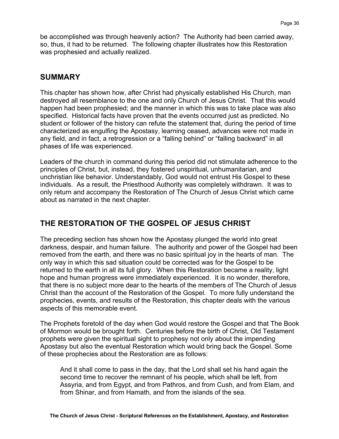be accomplished was through heavenly action? The Authority had been carried away, so, thus, it had to be returned. The following chapter illustrates how this Restoration was prophesied and actually realized.

## **SUMMARY**

This chapter has shown how, after Christ had physically established His Church, man destroyed all resemblance to the one and only Church of Jesus Christ. That this would happen had been prophesied; and the manner in which this was to take place was also specified. Historical facts have proven that the events occurred just as predicted. No student or follower of the history can refute the statement that, during the period of time characterized as engulfing the Apostasy, learning ceased, advances were not made in any field, and in fact, a retrogression or a "falling behind" or "falling backward" in all phases of life was experienced.

Leaders of the church in command during this period did not stimulate adherence to the principles of Christ, but, instead, they fostered unspiritual, unhumanitarian, and unchristian like behavior. Understandably, God would not entrust His Gospel to these individuals. As a result, the Priesthood Authority was completely withdrawn. It was to only return and accompany the Restoration of The Church of Jesus Christ which came about as narrated in the next chapter.

# **THE RESTORATION OF THE GOSPEL OF JESUS CHRIST**

The preceding section has shown how the Apostasy plunged the world into great darkness, despair, and human failure. The authority and power of the Gospel had been removed from the earth, and there was no basic spiritual joy in the hearts of man. The only way in which this sad situation could be corrected was for the Gospel to be returned to the earth in all its full glory. When this Restoration became a reality, light hope and human progress were immediately experienced. It is no wonder, therefore, that there is no subject more dear to the hearts of the members of The Church of Jesus Christ than the account of the Restoration of the Gospel. To more fully understand the prophecies, events, and results of the Restoration, this chapter deals with the various aspects of this memorable event.

The Prophets foretold of the day when God would restore the Gospel and that The Book of Mormon would be brought forth. Centuries before the birth of Christ, Old Testament prophets were given the spiritual sight to prophesy not only about the impending Apostasy but also the eventual Restoration which would bring back the Gospel. Some of these prophecies about the Restoration are as follows:

And it shall come to pass in the day, that the Lord shall set his hand again the second time to recover the remnant of his people, which shall be left, from Assyria, and from Egypt, and from Pathros, and from Cush, and from Elam, and from Shinar, and from Hamath, and from the islands of the sea.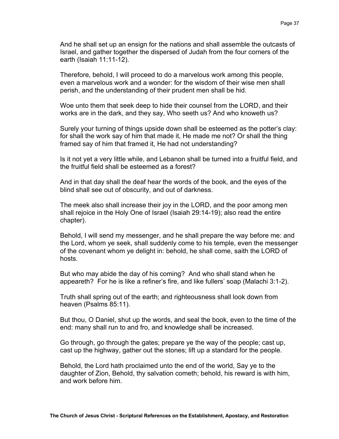And he shall set up an ensign for the nations and shall assemble the outcasts of Israel, and gather together the dispersed of Judah from the four corners of the earth (Isaiah 11:11-12).

Therefore, behold, I will proceed to do a marvelous work among this people, even a marvelous work and a wonder: for the wisdom of their wise men shall perish, and the understanding of their prudent men shall be hid.

Woe unto them that seek deep to hide their counsel from the LORD, and their works are in the dark, and they say, Who seeth us? And who knoweth us?

Surely your turning of things upside down shall be esteemed as the potter's clay: for shall the work say of him that made it, He made me not? Or shall the thing framed say of him that framed it, He had not understanding?

Is it not yet a very little while, and Lebanon shall be turned into a fruitful field, and the fruitful field shall be esteemed as a forest?

And in that day shall the deaf hear the words of the book, and the eyes of the blind shall see out of obscurity, and out of darkness.

The meek also shall increase their joy in the LORD, and the poor among men shall rejoice in the Holy One of Israel (Isaiah 29:14-19); also read the entire chapter).

Behold, I will send my messenger, and he shall prepare the way before me: and the Lord, whom ye seek, shall suddenly come to his temple, even the messenger of the covenant whom ye delight in: behold, he shall come, saith the LORD of hosts.

But who may abide the day of his coming? And who shall stand when he appeareth? For he is like a refiner's fire, and like fullers' soap (Malachi 3:1-2).

Truth shall spring out of the earth; and righteousness shall look down from heaven (Psalms 85:11).

But thou, O Daniel, shut up the words, and seal the book, even to the time of the end: many shall run to and fro, and knowledge shall be increased.

Go through, go through the gates; prepare ye the way of the people; cast up, cast up the highway, gather out the stones; lift up a standard for the people.

Behold, the Lord hath proclaimed unto the end of the world, Say ye to the daughter of Zion, Behold, thy salvation cometh; behold, his reward is with him, and work before him.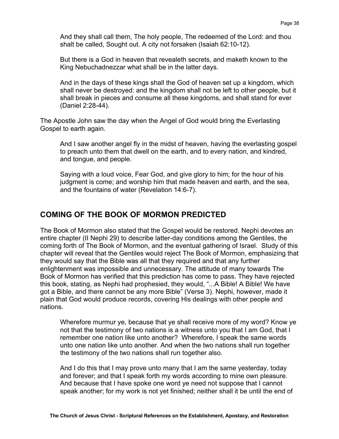And they shall call them, The holy people, The redeemed of the Lord: and thou shalt be called, Sought out. A city not forsaken (Isaiah 62:10-12).

But there is a God in heaven that revealeth secrets, and maketh known to the King Nebuchadnezzar what shall be in the latter days.

And in the days of these kings shall the God of heaven set up a kingdom, which shall never be destroyed: and the kingdom shall not be left to other people, but it shall break in pieces and consume all these kingdoms, and shall stand for ever (Daniel 2:28-44).

The Apostle John saw the day when the Angel of God would bring the Everlasting Gospel to earth again.

And I saw another angel fly in the midst of heaven, having the everlasting gospel to preach unto them that dwell on the earth, and to every nation, and kindred, and tongue, and people.

Saying with a loud voice, Fear God, and give glory to him; for the hour of his judgment is come; and worship him that made heaven and earth, and the sea, and the fountains of water (Revelation 14:6-7).

#### **COMING OF THE BOOK OF MORMON PREDICTED**

The Book of Mormon also stated that the Gospel would be restored. Nephi devotes an entire chapter (II Nephi 29) to describe latter-day conditions among the Gentiles, the coming forth of The Book of Mormon, and the eventual gathering of Israel. Study of this chapter will reveal that the Gentiles would reject The Book of Mormon, emphasizing that they would say that the Bible was all that they required and that any further enlightenment was impossible and unnecessary. The attitude of many towards The Book of Mormon has verified that this prediction has come to pass. They have rejected this book, stating, as Nephi had prophesied, they would, "...A Bible! A Bible! We have got a Bible, and there cannot be any more Bible" (Verse 3). Nephi, however, made it plain that God would produce records, covering His dealings with other people and nations.

Wherefore murmur ye, because that ye shall receive more of my word? Know ye not that the testimony of two nations is a witness unto you that I am God, that I remember one nation like unto another? Wherefore, I speak the same words unto one nation like unto another. And when the two nations shall run together the testimony of the two nations shall run together also.

And I do this that I may prove unto many that I am the same yesterday, today and forever; and that I speak forth my words according to mine own pleasure. And because that I have spoke one word ye need not suppose that I cannot speak another; for my work is not yet finished; neither shall it be until the end of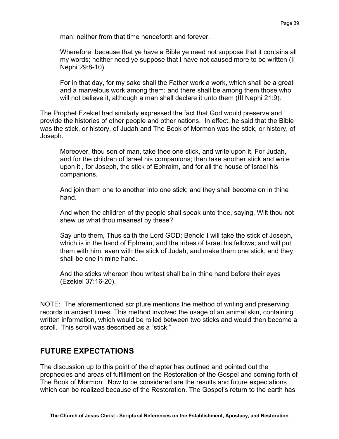man, neither from that time henceforth and forever.

Wherefore, because that ye have a Bible ye need not suppose that it contains all my words; neither need ye suppose that I have not caused more to be written (II Nephi 29:8-10).

For in that day, for my sake shall the Father work a work, which shall be a great and a marvelous work among them; and there shall be among them those who will not believe it, although a man shall declare it unto them (III Nephi 21:9).

The Prophet Ezekiel had similarly expressed the fact that God would preserve and provide the histories of other people and other nations. In effect, he said that the Bible was the stick, or history, of Judah and The Book of Mormon was the stick, or history, of Joseph.

Moreover, thou son of man, take thee one stick, and write upon it, For Judah, and for the children of Israel his companions; then take another stick and write upon it , for Joseph, the stick of Ephraim, and for all the house of Israel his companions.

And join them one to another into one stick; and they shall become on in thine hand.

And when the children of thy people shall speak unto thee, saying, Wilt thou not shew us what thou meanest by these?

Say unto them, Thus saith the Lord GOD; Behold I will take the stick of Joseph, which is in the hand of Ephraim, and the tribes of Israel his fellows; and will put them with him, even with the stick of Judah, and make them one stick, and they shall be one in mine hand.

And the sticks whereon thou writest shall be in thine hand before their eyes (Ezekiel 37:16-20).

NOTE: The aforementioned scripture mentions the method of writing and preserving records in ancient times. This method involved the usage of an animal skin, containing written information, which would be rolled between two sticks and would then become a scroll. This scroll was described as a "stick."

## **FUTURE EXPECTATIONS**

The discussion up to this point of the chapter has outlined and pointed out the prophecies and areas of fulfillment on the Restoration of the Gospel and coming forth of The Book of Mormon. Now to be considered are the results and future expectations which can be realized because of the Restoration. The Gospel's return to the earth has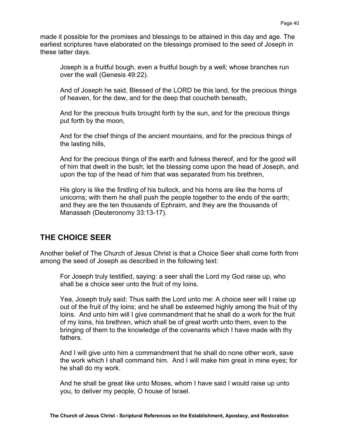made it possible for the promises and blessings to be attained in this day and age. The earliest scriptures have elaborated on the blessings promised to the seed of Joseph in these latter days.

Joseph is a fruitful bough, even a fruitful bough by a well; whose branches run over the wall (Genesis 49:22).

And of Joseph he said, Blessed of the LORD be this land, for the precious things of heaven, for the dew, and for the deep that coucheth beneath,

And for the precious fruits brought forth by the sun, and for the precious things put forth by the moon,

And for the chief things of the ancient mountains, and for the precious things of the lasting hills,

And for the precious things of the earth and fulness thereof, and for the good will of him that dwelt in the bush; let the blessing come upon the head of Joseph, and upon the top of the head of him that was separated from his brethren,

His glory is like the firstling of his bullock, and his horns are like the horns of unicorns; with them he shall push the people together to the ends of the earth; and they are the ten thousands of Ephraim, and they are the thousands of Manasseh (Deuteronomy 33:13-17).

# **THE CHOICE SEER**

Another belief of The Church of Jesus Christ is that a Choice Seer shall come forth from among the seed of Joseph as described in the following text:

For Joseph truly testified, saying: a seer shall the Lord my God raise up, who shall be a choice seer unto the fruit of my loins.

Yea, Joseph truly said: Thus saith the Lord unto me: A choice seer will I raise up out of the fruit of thy loins; and he shall be esteemed highly among the fruit of thy loins. And unto him will I give commandment that he shall do a work for the fruit of my loins, his brethren, which shall be of great worth unto them, even to the bringing of them to the knowledge of the covenants which I have made with thy fathers.

And I will give unto him a commandment that he shall do none other work, save the work which I shall command him. And I will make him great in mine eyes; for he shall do my work.

And he shall be great like unto Moses, whom I have said I would raise up unto you, to deliver my people, O house of Israel.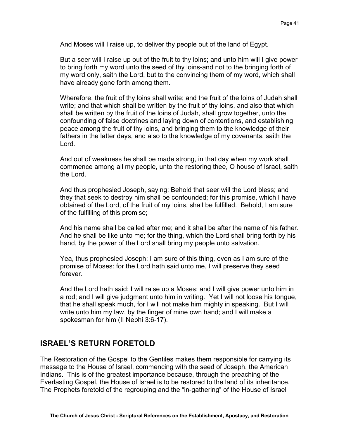And Moses will I raise up, to deliver thy people out of the land of Egypt.

But a seer will I raise up out of the fruit to thy loins; and unto him will I give power to bring forth my word unto the seed of thy loins-and not to the bringing forth of my word only, saith the Lord, but to the convincing them of my word, which shall have already gone forth among them.

Wherefore, the fruit of thy loins shall write; and the fruit of the loins of Judah shall write; and that which shall be written by the fruit of thy loins, and also that which shall be written by the fruit of the loins of Judah, shall grow together, unto the confounding of false doctrines and laying down of contentions, and establishing peace among the fruit of thy loins, and bringing them to the knowledge of their fathers in the latter days, and also to the knowledge of my covenants, saith the Lord.

And out of weakness he shall be made strong, in that day when my work shall commence among all my people, unto the restoring thee, O house of Israel, saith the Lord.

And thus prophesied Joseph, saying: Behold that seer will the Lord bless; and they that seek to destroy him shall be confounded; for this promise, which I have obtained of the Lord, of the fruit of my loins, shall be fulfilled. Behold, I am sure of the fulfilling of this promise;

And his name shall be called after me; and it shall be after the name of his father. And he shall be like unto me; for the thing, which the Lord shall bring forth by his hand, by the power of the Lord shall bring my people unto salvation.

Yea, thus prophesied Joseph: I am sure of this thing, even as I am sure of the promise of Moses: for the Lord hath said unto me, I will preserve they seed forever.

And the Lord hath said: I will raise up a Moses; and I will give power unto him in a rod; and I will give judgment unto him in writing. Yet I will not loose his tongue, that he shall speak much, for I will not make him mighty in speaking. But I will write unto him my law, by the finger of mine own hand; and I will make a spokesman for him (II Nephi 3:6-17).

# **ISRAEL'S RETURN FORETOLD**

The Restoration of the Gospel to the Gentiles makes them responsible for carrying its message to the House of Israel, commencing with the seed of Joseph, the American Indians. This is of the greatest importance because, through the preaching of the Everlasting Gospel, the House of Israel is to be restored to the land of its inheritance. The Prophets foretold of the regrouping and the "in-gathering" of the House of Israel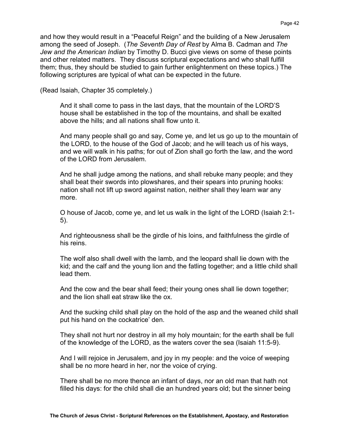and how they would result in a "Peaceful Reign" and the building of a New Jerusalem among the seed of Joseph. (*The Seventh Day of Rest* by Alma B. Cadman and *The Jew and the American Indian* by Timothy D. Bucci give views on some of these points and other related matters. They discuss scriptural expectations and who shall fulfill them; thus, they should be studied to gain further enlightenment on these topics.) The following scriptures are typical of what can be expected in the future.

(Read Isaiah, Chapter 35 completely.)

And it shall come to pass in the last days, that the mountain of the LORD'S house shall be established in the top of the mountains, and shall be exalted above the hills; and all nations shall flow unto it.

And many people shall go and say, Come ye, and let us go up to the mountain of the LORD, to the house of the God of Jacob; and he will teach us of his ways, and we will walk in his paths; for out of Zion shall go forth the law, and the word of the LORD from Jerusalem.

And he shall judge among the nations, and shall rebuke many people; and they shall beat their swords into plowshares, and their spears into pruning hooks: nation shall not lift up sword against nation, neither shall they learn war any more.

O house of Jacob, come ye, and let us walk in the light of the LORD (Isaiah 2:1- 5).

And righteousness shall be the girdle of his loins, and faithfulness the girdle of his reins.

The wolf also shall dwell with the lamb, and the leopard shall lie down with the kid; and the calf and the young lion and the fatling together; and a little child shall lead them.

And the cow and the bear shall feed; their young ones shall lie down together; and the lion shall eat straw like the ox.

And the sucking child shall play on the hold of the asp and the weaned child shall put his hand on the cockatrice' den.

They shall not hurt nor destroy in all my holy mountain; for the earth shall be full of the knowledge of the LORD, as the waters cover the sea (Isaiah 11:5-9).

And I will rejoice in Jerusalem, and joy in my people: and the voice of weeping shall be no more heard in her, nor the voice of crying.

There shall be no more thence an infant of days, nor an old man that hath not filled his days: for the child shall die an hundred years old; but the sinner being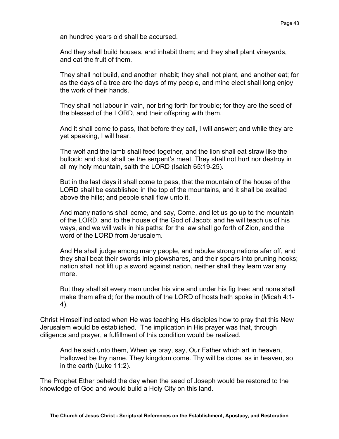an hundred years old shall be accursed.

And they shall build houses, and inhabit them; and they shall plant vineyards, and eat the fruit of them.

They shall not build, and another inhabit; they shall not plant, and another eat; for as the days of a tree are the days of my people, and mine elect shall long enjoy the work of their hands.

They shall not labour in vain, nor bring forth for trouble; for they are the seed of the blessed of the LORD, and their offspring with them.

And it shall come to pass, that before they call, I will answer; and while they are yet speaking, I will hear.

The wolf and the lamb shall feed together, and the lion shall eat straw like the bullock: and dust shall be the serpent's meat. They shall not hurt nor destroy in all my holy mountain, saith the LORD (Isaiah 65:19-25).

But in the last days it shall come to pass, that the mountain of the house of the LORD shall be established in the top of the mountains, and it shall be exalted above the hills; and people shall flow unto it.

And many nations shall come, and say, Come, and let us go up to the mountain of the LORD, and to the house of the God of Jacob; and he will teach us of his ways, and we will walk in his paths: for the law shall go forth of Zion, and the word of the LORD from Jerusalem.

And He shall judge among many people, and rebuke strong nations afar off, and they shall beat their swords into plowshares, and their spears into pruning hooks; nation shall not lift up a sword against nation, neither shall they learn war any more.

But they shall sit every man under his vine and under his fig tree: and none shall make them afraid; for the mouth of the LORD of hosts hath spoke in (Micah 4:1- 4).

Christ Himself indicated when He was teaching His disciples how to pray that this New Jerusalem would be established. The implication in His prayer was that, through diligence and prayer, a fulfillment of this condition would be realized.

And he said unto them, When ye pray, say, Our Father which art in heaven, Hallowed be thy name. They kingdom come. Thy will be done, as in heaven, so in the earth (Luke 11:2).

The Prophet Ether beheld the day when the seed of Joseph would be restored to the knowledge of God and would build a Holy City on this land.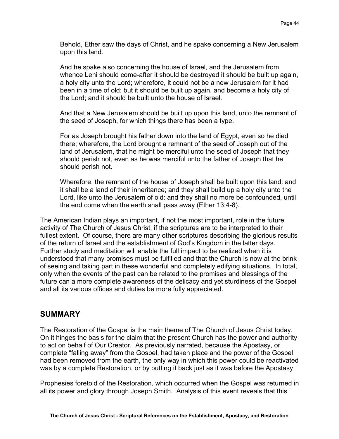Behold, Ether saw the days of Christ, and he spake concerning a New Jerusalem upon this land.

And he spake also concerning the house of Israel, and the Jerusalem from whence Lehi should come-after it should be destroyed it should be built up again, a holy city unto the Lord; wherefore, it could not be a new Jerusalem for it had been in a time of old; but it should be built up again, and become a holy city of the Lord; and it should be built unto the house of Israel.

And that a New Jerusalem should be built up upon this land, unto the remnant of the seed of Joseph, for which things there has been a type.

For as Joseph brought his father down into the land of Egypt, even so he died there; wherefore, the Lord brought a remnant of the seed of Joseph out of the land of Jerusalem, that he might be merciful unto the seed of Joseph that they should perish not, even as he was merciful unto the father of Joseph that he should perish not.

Wherefore, the remnant of the house of Joseph shall be built upon this land: and it shall be a land of their inheritance; and they shall build up a holy city unto the Lord, like unto the Jerusalem of old: and they shall no more be confounded, until the end come when the earth shall pass away (Ether 13:4-8).

The American Indian plays an important, if not the most important, role in the future activity of The Church of Jesus Christ, if the scriptures are to be interpreted to their fullest extent. Of course, there are many other scriptures describing the glorious results of the return of Israel and the establishment of God's Kingdom in the latter days. Further study and meditation will enable the full impact to be realized when it is understood that many promises must be fulfilled and that the Church is now at the brink of seeing and taking part in these wonderful and completely edifying situations. In total, only when the events of the past can be related to the promises and blessings of the future can a more complete awareness of the delicacy and yet sturdiness of the Gospel and all its various offices and duties be more fully appreciated.

#### **SUMMARY**

The Restoration of the Gospel is the main theme of The Church of Jesus Christ today. On it hinges the basis for the claim that the present Church has the power and authority to act on behalf of Our Creator. As previously narrated, because the Apostasy, or complete "falling away" from the Gospel, had taken place and the power of the Gospel had been removed from the earth, the only way in which this power could be reactivated was by a complete Restoration, or by putting it back just as it was before the Apostasy.

Prophesies foretold of the Restoration, which occurred when the Gospel was returned in all its power and glory through Joseph Smith. Analysis of this event reveals that this